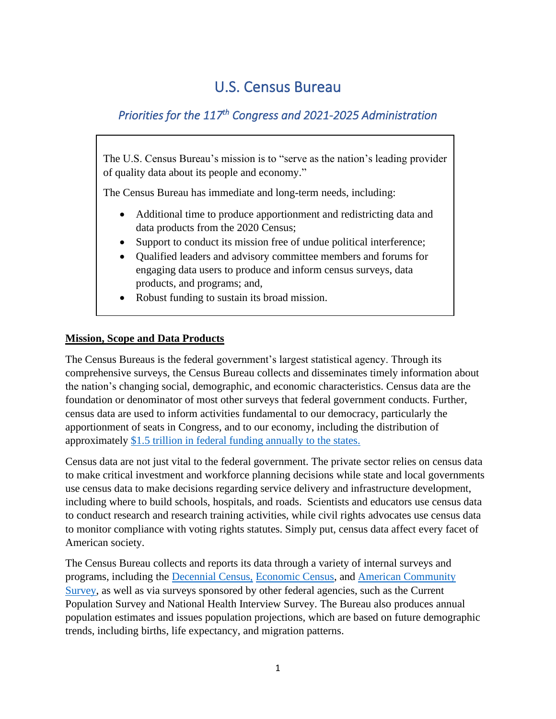# U.S. Census Bureau

## *Priorities for the 117th Congress and 2021-2025 Administration*

The U.S. Census Bureau's mission is to "serve as the nation's leading provider of quality data about its people and economy."

The Census Bureau has immediate and long-term needs, including:

- Additional time to produce apportionment and redistricting data and data products from the 2020 Census;
- Support to conduct its mission free of undue political interference;
- Qualified leaders and advisory committee members and forums for engaging data users to produce and inform census surveys, data products, and programs; and,
- Robust funding to sustain its broad mission.

### **Mission, Scope and Data Products**

The Census Bureaus is the federal government's largest statistical agency. Through its comprehensive surveys, the Census Bureau collects and disseminates timely information about the nation's changing social, demographic, and economic characteristics. Census data are the foundation or denominator of most other surveys that federal government conducts. Further, census data are used to inform activities fundamental to our democracy, particularly the apportionment of seats in Congress, and to our economy, including the distribution of approximately [\\$1.5 trillion in federal funding annually to the states.](https://censusproject.files.wordpress.com/2019/11/counting-for-dollars-press-release-11.18.2019.pdf)

Census data are not just vital to the federal government. The private sector relies on census data to make critical investment and workforce planning decisions while state and local governments use census data to make decisions regarding service delivery and infrastructure development, including where to build schools, hospitals, and roads. Scientists and educators use census data to conduct research and research training activities, while civil rights advocates use census data to monitor compliance with voting rights statutes. Simply put, census data affect every facet of American society.

The Census Bureau collects and reports its data through a variety of internal surveys and programs, including the [Decennial Census,](https://2020census.gov/en.html) [Economic Census,](https://www.census.gov/programs-surveys/economic-census.html) and [American Community](https://www.census.gov/programs-surveys/acs)  [Survey,](https://www.census.gov/programs-surveys/acs) as well as via surveys sponsored by other federal agencies, such as the Current Population Survey and National Health Interview Survey. The Bureau also produces annual population estimates and issues population projections, which are based on future demographic trends, including births, life expectancy, and migration patterns.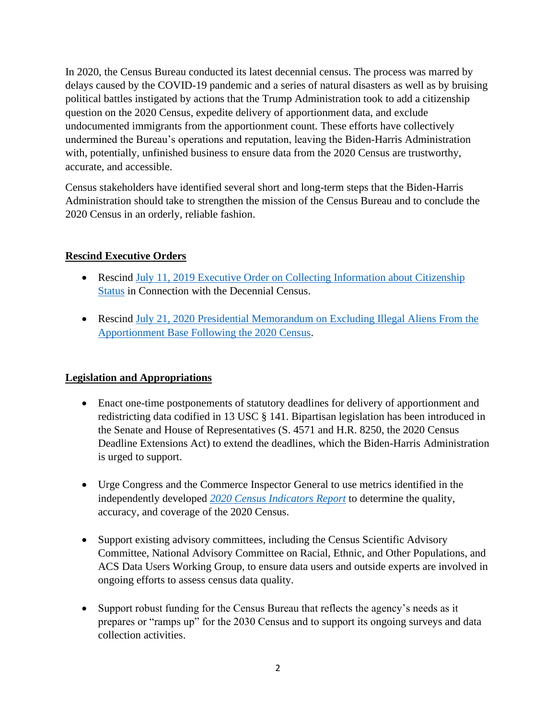In 2020, the Census Bureau conducted its latest decennial census. The process was marred by delays caused by the COVID-19 pandemic and a series of natural disasters as well as by bruising political battles instigated by actions that the Trump Administration took to add a citizenship question on the 2020 Census, expedite delivery of apportionment data, and exclude undocumented immigrants from the apportionment count. These efforts have collectively undermined the Bureau's operations and reputation, leaving the Biden-Harris Administration with, potentially, unfinished business to ensure data from the 2020 Census are trustworthy, accurate, and accessible.

Census stakeholders have identified several short and long-term steps that the Biden-Harris Administration should take to strengthen the mission of the Census Bureau and to conclude the 2020 Census in an orderly, reliable fashion.

### **Rescind Executive Orders**

- Rescind July 11, 2019 Executive Order on Collecting Information about Citizenship [Status](https://www.whitehouse.gov/presidential-actions/executive-order-collecting-information-citizenship-status-connection-decennial-census/) in Connection with the Decennial Census.
- Rescind July 21, 2020 Presidential Memorandum on Excluding Illegal Aliens From the [Apportionment Base Following the 2020 Census.](https://www.whitehouse.gov/presidential-actions/memorandum-excluding-illegal-aliens-apportionment-base-following-2020-census/)

#### **Legislation and Appropriations**

- Enact one-time postponements of statutory deadlines for delivery of apportionment and redistricting data codified in 13 USC § 141. Bipartisan legislation has been introduced in the Senate and House of Representatives (S. 4571 and H.R. 8250, the 2020 Census Deadline Extensions Act) to extend the deadlines, which the Biden-Harris Administration is urged to support.
- Urge Congress and the Commerce Inspector General to use metrics identified in the independently developed *[2020 Census Indicators Report](https://www.amstat.org/asa/files/pdfs/POL-2020CensusQualityIndicators.pdf)* to determine the quality, accuracy, and coverage of the 2020 Census.
- Support existing advisory committees, including the Census Scientific Advisory Committee, National Advisory Committee on Racial, Ethnic, and Other Populations, and ACS Data Users Working Group, to ensure data users and outside experts are involved in ongoing efforts to assess census data quality.
- Support robust funding for the Census Bureau that reflects the agency's needs as it prepares or "ramps up" for the 2030 Census and to support its ongoing surveys and data collection activities.